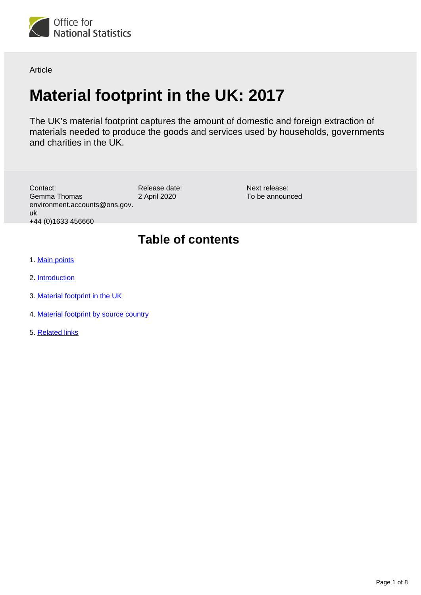

Article

# **Material footprint in the UK: 2017**

The UK's material footprint captures the amount of domestic and foreign extraction of materials needed to produce the goods and services used by households, governments and charities in the UK.

| Contact:<br>Gemma Thomas<br>environment.accounts@ons.gov.<br>uk<br>+44 (0) 1633 456660 | Release date:<br>2 April 2020 | Next release:<br>To be announced |
|----------------------------------------------------------------------------------------|-------------------------------|----------------------------------|
|                                                                                        | <b>Table of contents</b>      |                                  |
| 1. Main points                                                                         |                               |                                  |
| 2. Introduction                                                                        |                               |                                  |

- 3. [Material footprint in the UK](#page-1-2)
- 4. [Material footprint by source country](#page-3-0)
- 5. [Related links](#page-7-0)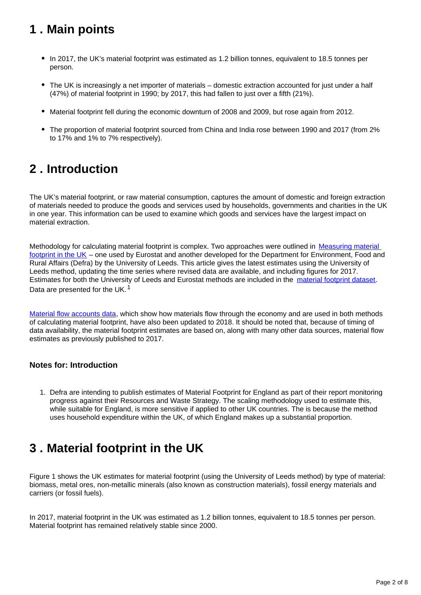# <span id="page-1-0"></span>**1 . Main points**

- In 2017, the UK's material footprint was estimated as 1.2 billion tonnes, equivalent to 18.5 tonnes per person.
- The UK is increasingly a net importer of materials domestic extraction accounted for just under a half (47%) of material footprint in 1990; by 2017, this had fallen to just over a fifth (21%).
- Material footprint fell during the economic downturn of 2008 and 2009, but rose again from 2012.
- The proportion of material footprint sourced from China and India rose between 1990 and 2017 (from 2% to 17% and 1% to 7% respectively).

# <span id="page-1-1"></span>**2 . Introduction**

The UK's material footprint, or raw material consumption, captures the amount of domestic and foreign extraction of materials needed to produce the goods and services used by households, governments and charities in the UK in one year. This information can be used to examine which goods and services have the largest impact on material extraction.

Methodology for calculating material footprint is complex. Two approaches were outlined in Measuring material [footprint in the UK](https://www.ons.gov.uk/economy/environmentalaccounts/methodologies/measuringmaterialfootprintintheuk2008to2016) – one used by Eurostat and another developed for the Department for Environment, Food and Rural Affairs (Defra) by the University of Leeds. This article gives the latest estimates using the University of Leeds method, updating the time series where revised data are available, and including figures for 2017. Estimates for both the University of Leeds and Eurostat methods are included in the [material footprint dataset](https://www.ons.gov.uk/economy/environmentalaccounts/datasets/materialfootprintintheuk). Data are presented for the UK.<sup>1</sup>

[Material flow accounts data](https://www.ons.gov.uk/economy/environmentalaccounts/datasets/ukenvironmentalaccountsmaterialflowsaccountunitedkingdom), which show how materials flow through the economy and are used in both methods of calculating material footprint, have also been updated to 2018. It should be noted that, because of timing of data availability, the material footprint estimates are based on, along with many other data sources, material flow estimates as previously published to 2017.

# **Notes for: Introduction**

1. Defra are intending to publish estimates of Material Footprint for England as part of their report monitoring progress against their Resources and Waste Strategy. The scaling methodology used to estimate this, while suitable for England, is more sensitive if applied to other UK countries. The is because the method uses household expenditure within the UK, of which England makes up a substantial proportion.

# <span id="page-1-2"></span>**3 . Material footprint in the UK**

Figure 1 shows the UK estimates for material footprint (using the University of Leeds method) by type of material: biomass, metal ores, non-metallic minerals (also known as construction materials), fossil energy materials and carriers (or fossil fuels).

In 2017, material footprint in the UK was estimated as 1.2 billion tonnes, equivalent to 18.5 tonnes per person. Material footprint has remained relatively stable since 2000.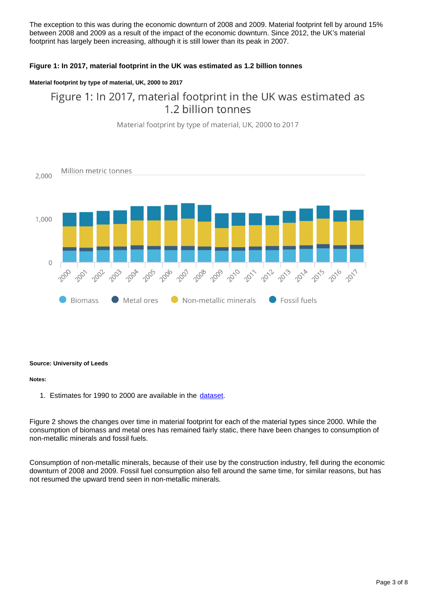The exception to this was during the economic downturn of 2008 and 2009. Material footprint fell by around 15% between 2008 and 2009 as a result of the impact of the economic downturn. Since 2012, the UK's material footprint has largely been increasing, although it is still lower than its peak in 2007.

# **Figure 1: In 2017, material footprint in the UK was estimated as 1.2 billion tonnes**

## **Material footprint by type of material, UK, 2000 to 2017**

# Figure 1: In 2017, material footprint in the UK was estimated as 1.2 billion tonnes



Material footprint by type of material, UK, 2000 to 2017

### **Source: University of Leeds**

#### **Notes:**

1. Estimates for 1990 to 2000 are available in the [dataset.](https://www.ons.gov.uk/economy/environmentalaccounts/datasets/materialfootprintintheuk)

Figure 2 shows the changes over time in material footprint for each of the material types since 2000. While the consumption of biomass and metal ores has remained fairly static, there have been changes to consumption of non-metallic minerals and fossil fuels.

Consumption of non-metallic minerals, because of their use by the construction industry, fell during the economic downturn of 2008 and 2009. Fossil fuel consumption also fell around the same time, for similar reasons, but has not resumed the upward trend seen in non-metallic minerals.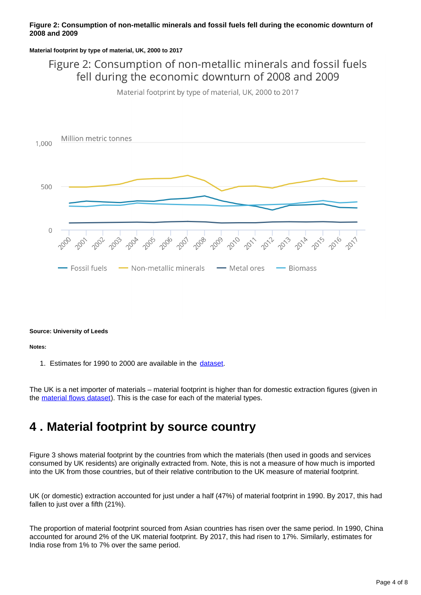## **Figure 2: Consumption of non-metallic minerals and fossil fuels fell during the economic downturn of 2008 and 2009**

**Material footprint by type of material, UK, 2000 to 2017**

# Figure 2: Consumption of non-metallic minerals and fossil fuels fell during the economic downturn of 2008 and 2009

Material footprint by type of material, UK, 2000 to 2017



#### **Source: University of Leeds**

**Notes:**

1. Estimates for 1990 to 2000 are available in the [dataset.](https://www.ons.gov.uk/economy/environmentalaccounts/datasets/materialfootprintintheuk)

The UK is a net importer of materials – material footprint is higher than for domestic extraction figures (given in the [material flows dataset\)](https://www.ons.gov.uk/economy/environmentalaccounts/datasets/ukenvironmentalaccountsmaterialflowsaccountunitedkingdom). This is the case for each of the material types.

# <span id="page-3-0"></span>**4 . Material footprint by source country**

Figure 3 shows material footprint by the countries from which the materials (then used in goods and services consumed by UK residents) are originally extracted from. Note, this is not a measure of how much is imported into the UK from those countries, but of their relative contribution to the UK measure of material footprint.

UK (or domestic) extraction accounted for just under a half (47%) of material footprint in 1990. By 2017, this had fallen to just over a fifth (21%).

The proportion of material footprint sourced from Asian countries has risen over the same period. In 1990, China accounted for around 2% of the UK material footprint. By 2017, this had risen to 17%. Similarly, estimates for India rose from 1% to 7% over the same period.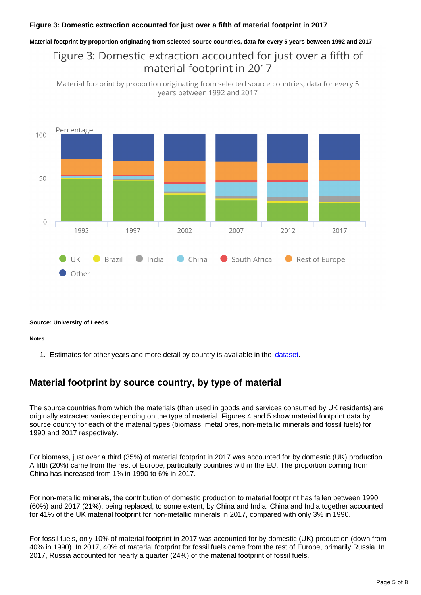# **Figure 3: Domestic extraction accounted for just over a fifth of material footprint in 2017**

#### **Material footprint by proportion originating from selected source countries, data for every 5 years between 1992 and 2017**

# Figure 3: Domestic extraction accounted for just over a fifth of material footprint in 2017

Material footprint by proportion originating from selected source countries, data for every 5 years between 1992 and 2017



#### **Source: University of Leeds**

#### **Notes:**

1. Estimates for other years and more detail by country is available in the [dataset](https://www.ons.gov.uk/economy/environmentalaccounts/datasets/materialfootprintintheuk).

# **Material footprint by source country, by type of material**

The source countries from which the materials (then used in goods and services consumed by UK residents) are originally extracted varies depending on the type of material. Figures 4 and 5 show material footprint data by source country for each of the material types (biomass, metal ores, non-metallic minerals and fossil fuels) for 1990 and 2017 respectively.

For biomass, just over a third (35%) of material footprint in 2017 was accounted for by domestic (UK) production. A fifth (20%) came from the rest of Europe, particularly countries within the EU. The proportion coming from China has increased from 1% in 1990 to 6% in 2017.

For non-metallic minerals, the contribution of domestic production to material footprint has fallen between 1990 (60%) and 2017 (21%), being replaced, to some extent, by China and India. China and India together accounted for 41% of the UK material footprint for non-metallic minerals in 2017, compared with only 3% in 1990.

For fossil fuels, only 10% of material footprint in 2017 was accounted for by domestic (UK) production (down from 40% in 1990). In 2017, 40% of material footprint for fossil fuels came from the rest of Europe, primarily Russia. In 2017, Russia accounted for nearly a quarter (24%) of the material footprint of fossil fuels.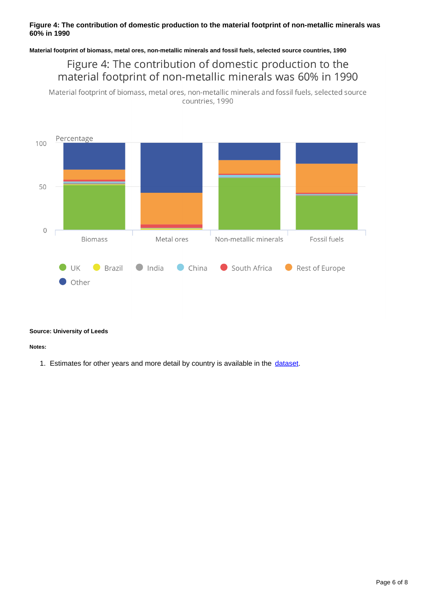# **Figure 4: The contribution of domestic production to the material footprint of non-metallic minerals was 60% in 1990**

**Material footprint of biomass, metal ores, non-metallic minerals and fossil fuels, selected source countries, 1990**

Figure 4: The contribution of domestic production to the material footprint of non-metallic minerals was 60% in 1990

Material footprint of biomass, metal ores, non-metallic minerals and fossil fuels, selected source countries, 1990



#### **Source: University of Leeds**

**Notes:**

1. Estimates for other years and more detail by country is available in the [dataset](https://www.ons.gov.uk/economy/environmentalaccounts/datasets/materialfootprintintheuk).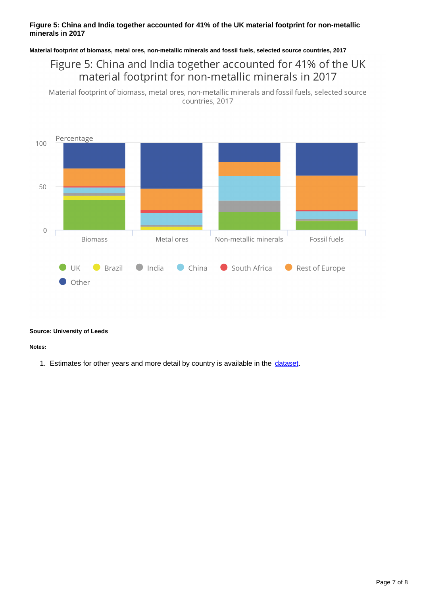# **Figure 5: China and India together accounted for 41% of the UK material footprint for non-metallic minerals in 2017**

**Material footprint of biomass, metal ores, non-metallic minerals and fossil fuels, selected source countries, 2017**

# Figure 5: China and India together accounted for 41% of the UK material footprint for non-metallic minerals in 2017

Material footprint of biomass, metal ores, non-metallic minerals and fossil fuels, selected source countries, 2017



### **Source: University of Leeds**

**Notes:**

1. Estimates for other years and more detail by country is available in the [dataset](https://www.ons.gov.uk/economy/environmentalaccounts/datasets/materialfootprintintheuk).